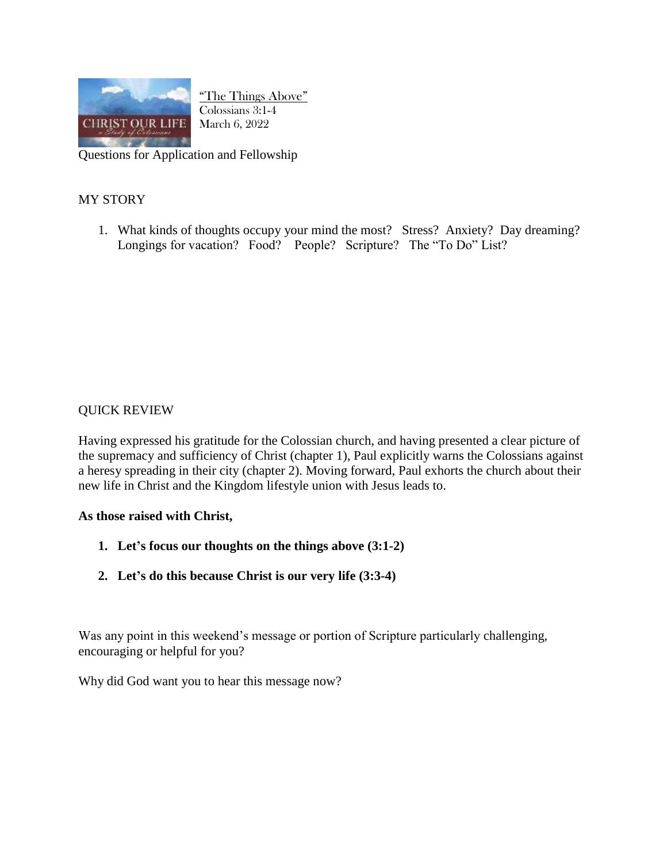

"The Things Above" Colossians 3:1-4 March 6, 2022

Questions for Application and Fellowship

## MY STORY

1. What kinds of thoughts occupy your mind the most? Stress? Anxiety? Day dreaming? Longings for vacation? Food? People? Scripture? The "To Do" List?

## QUICK REVIEW

Having expressed his gratitude for the Colossian church, and having presented a clear picture of the supremacy and sufficiency of Christ (chapter 1), Paul explicitly warns the Colossians against a heresy spreading in their city (chapter 2). Moving forward, Paul exhorts the church about their new life in Christ and the Kingdom lifestyle union with Jesus leads to.

## **As those raised with Christ,**

- **1. Let's focus our thoughts on the things above (3:1-2)**
- **2. Let's do this because Christ is our very life (3:3-4)**

Was any point in this weekend's message or portion of Scripture particularly challenging, encouraging or helpful for you?

Why did God want you to hear this message now?